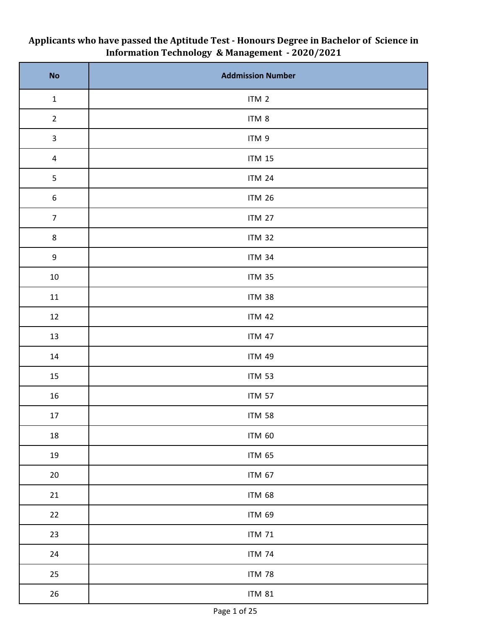| No                      | <b>Addmission Number</b> |
|-------------------------|--------------------------|
| $\mathbf 1$             | ITM 2                    |
| $\overline{2}$          | ITM 8                    |
| $\mathbf{3}$            | ITM 9                    |
| $\overline{\mathbf{4}}$ | $ITM$ 15                 |
| 5                       | <b>ITM 24</b>            |
| $\boldsymbol{6}$        | <b>ITM 26</b>            |
| $\overline{7}$          | <b>ITM 27</b>            |
| $\bf 8$                 | <b>ITM 32</b>            |
| 9                       | <b>ITM 34</b>            |
| $10\,$                  | <b>ITM 35</b>            |
| $11\,$                  | <b>ITM 38</b>            |
| 12                      | <b>ITM 42</b>            |
| 13                      | <b>ITM 47</b>            |
| 14                      | <b>ITM 49</b>            |
| 15                      | <b>ITM 53</b>            |
| $16\,$                  | <b>ITM 57</b>            |
| 17                      | <b>ITM 58</b>            |
| 18                      | <b>ITM 60</b>            |
| 19                      | <b>ITM 65</b>            |
| $20\,$                  | <b>ITM 67</b>            |
| 21                      | <b>ITM 68</b>            |
| 22                      | <b>ITM 69</b>            |
| 23                      | <b>ITM 71</b>            |
| 24                      | <b>ITM 74</b>            |
| 25                      | <b>ITM 78</b>            |
| 26                      | <b>ITM 81</b>            |

## **Applicants who have passed the Aptitude Test - Honours Degree in Bachelor of Science in Information Technology & Management - 2020/2021**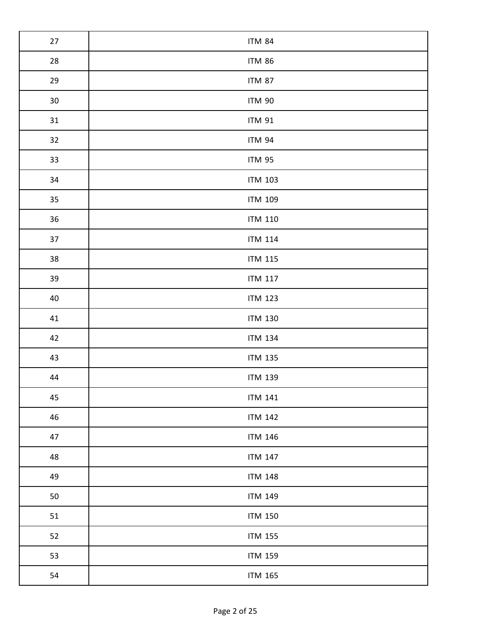| 27     | <b>ITM 84</b>  |
|--------|----------------|
| 28     | <b>ITM 86</b>  |
| 29     | <b>ITM 87</b>  |
| $30\,$ | <b>ITM 90</b>  |
| 31     | <b>ITM 91</b>  |
| 32     | <b>ITM 94</b>  |
| 33     | <b>ITM 95</b>  |
| 34     | <b>ITM 103</b> |
| 35     | <b>ITM 109</b> |
| 36     | <b>ITM 110</b> |
| 37     | <b>ITM 114</b> |
| 38     | <b>ITM 115</b> |
| 39     | <b>ITM 117</b> |
| 40     | <b>ITM 123</b> |
| 41     | <b>ITM 130</b> |
| 42     | <b>ITM 134</b> |
| 43     | <b>ITM 135</b> |
| 44     | <b>ITM 139</b> |
| 45     | <b>ITM 141</b> |
| 46     | <b>ITM 142</b> |
| 47     | <b>ITM 146</b> |
| 48     | <b>ITM 147</b> |
| 49     | <b>ITM 148</b> |
| 50     | <b>ITM 149</b> |
| 51     | <b>ITM 150</b> |
| 52     | <b>ITM 155</b> |
| 53     | <b>ITM 159</b> |
| 54     | <b>ITM 165</b> |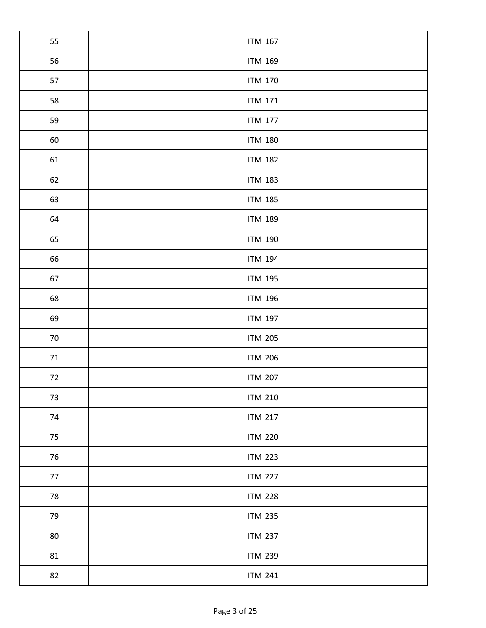| 55     | <b>ITM 167</b> |
|--------|----------------|
| 56     | <b>ITM 169</b> |
| 57     | <b>ITM 170</b> |
| 58     | <b>ITM 171</b> |
| 59     | <b>ITM 177</b> |
| 60     | <b>ITM 180</b> |
| 61     | <b>ITM 182</b> |
| 62     | <b>ITM 183</b> |
| 63     | <b>ITM 185</b> |
| 64     | <b>ITM 189</b> |
| 65     | <b>ITM 190</b> |
| 66     | <b>ITM 194</b> |
| 67     | <b>ITM 195</b> |
| 68     | <b>ITM 196</b> |
| 69     | <b>ITM 197</b> |
| $70\,$ | <b>ITM 205</b> |
| $71\,$ | <b>ITM 206</b> |
| 72     | <b>ITM 207</b> |
| 73     | <b>ITM 210</b> |
| 74     | <b>ITM 217</b> |
| 75     | <b>ITM 220</b> |
| 76     | <b>ITM 223</b> |
| 77     | <b>ITM 227</b> |
| 78     | <b>ITM 228</b> |
| 79     | <b>ITM 235</b> |
| 80     | <b>ITM 237</b> |
| 81     | <b>ITM 239</b> |
| 82     | <b>ITM 241</b> |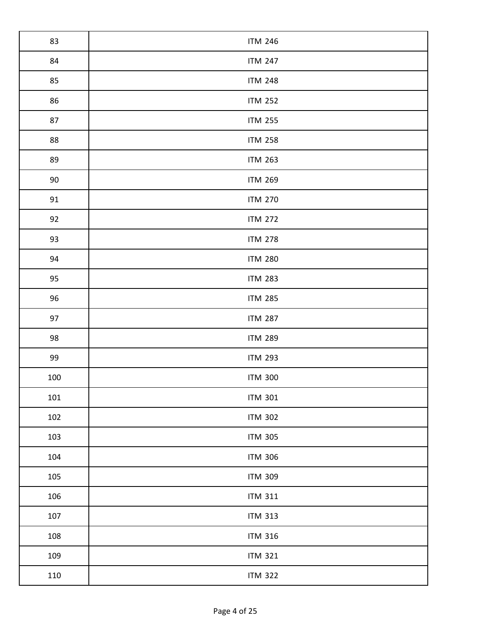| 83  | <b>ITM 246</b> |
|-----|----------------|
| 84  | <b>ITM 247</b> |
| 85  | <b>ITM 248</b> |
| 86  | <b>ITM 252</b> |
| 87  | <b>ITM 255</b> |
| 88  | <b>ITM 258</b> |
| 89  | <b>ITM 263</b> |
| 90  | <b>ITM 269</b> |
| 91  | <b>ITM 270</b> |
| 92  | <b>ITM 272</b> |
| 93  | <b>ITM 278</b> |
| 94  | <b>ITM 280</b> |
| 95  | <b>ITM 283</b> |
| 96  | <b>ITM 285</b> |
| 97  | <b>ITM 287</b> |
| 98  | <b>ITM 289</b> |
| 99  | <b>ITM 293</b> |
| 100 | <b>ITM 300</b> |
| 101 | <b>ITM 301</b> |
| 102 | <b>ITM 302</b> |
| 103 | <b>ITM 305</b> |
| 104 | <b>ITM 306</b> |
| 105 | <b>ITM 309</b> |
| 106 | <b>ITM 311</b> |
| 107 | <b>ITM 313</b> |
| 108 | <b>ITM 316</b> |
| 109 | <b>ITM 321</b> |
| 110 | <b>ITM 322</b> |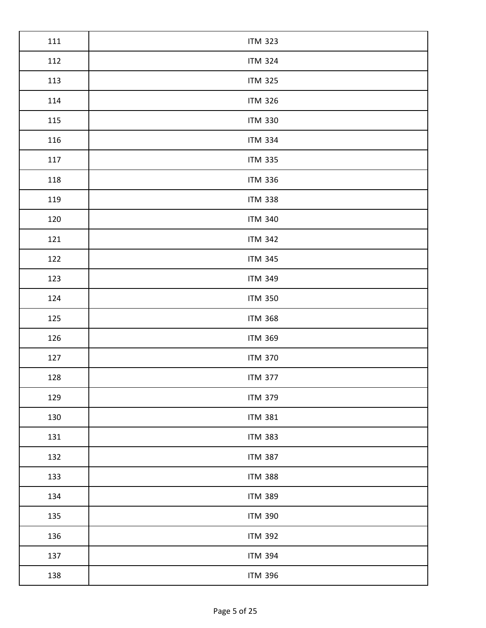| 111 | <b>ITM 323</b> |
|-----|----------------|
| 112 | <b>ITM 324</b> |
| 113 | <b>ITM 325</b> |
| 114 | <b>ITM 326</b> |
| 115 | <b>ITM 330</b> |
| 116 | <b>ITM 334</b> |
| 117 | <b>ITM 335</b> |
| 118 | <b>ITM 336</b> |
| 119 | <b>ITM 338</b> |
| 120 | <b>ITM 340</b> |
| 121 | <b>ITM 342</b> |
| 122 | <b>ITM 345</b> |
| 123 | <b>ITM 349</b> |
| 124 | <b>ITM 350</b> |
| 125 | <b>ITM 368</b> |
| 126 | <b>ITM 369</b> |
| 127 | <b>ITM 370</b> |
| 128 | <b>ITM 377</b> |
| 129 | <b>ITM 379</b> |
| 130 | <b>ITM 381</b> |
| 131 | <b>ITM 383</b> |
| 132 | <b>ITM 387</b> |
| 133 | <b>ITM 388</b> |
| 134 | <b>ITM 389</b> |
| 135 | <b>ITM 390</b> |
| 136 | <b>ITM 392</b> |
| 137 | <b>ITM 394</b> |
| 138 | <b>ITM 396</b> |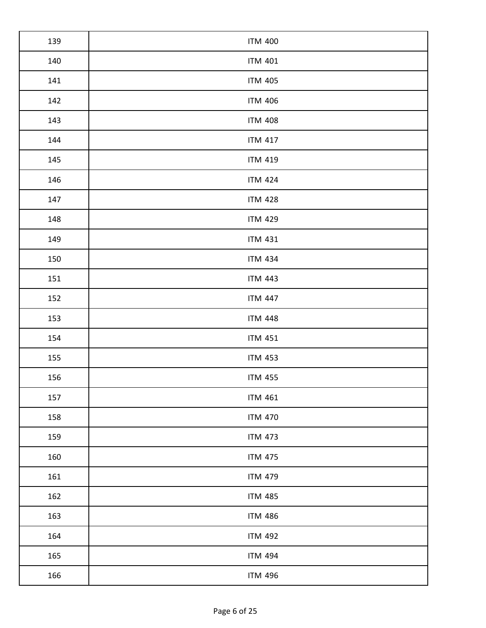| 139 | <b>ITM 400</b> |
|-----|----------------|
| 140 | <b>ITM 401</b> |
| 141 | <b>ITM 405</b> |
| 142 | <b>ITM 406</b> |
| 143 | <b>ITM 408</b> |
| 144 | <b>ITM 417</b> |
| 145 | <b>ITM 419</b> |
| 146 | <b>ITM 424</b> |
| 147 | <b>ITM 428</b> |
| 148 | <b>ITM 429</b> |
| 149 | <b>ITM 431</b> |
| 150 | <b>ITM 434</b> |
| 151 | <b>ITM 443</b> |
| 152 | <b>ITM 447</b> |
| 153 | <b>ITM 448</b> |
| 154 | <b>ITM 451</b> |
| 155 | <b>ITM 453</b> |
| 156 | <b>ITM 455</b> |
| 157 | <b>ITM 461</b> |
| 158 | <b>ITM 470</b> |
| 159 | <b>ITM 473</b> |
| 160 | <b>ITM 475</b> |
| 161 | <b>ITM 479</b> |
| 162 | <b>ITM 485</b> |
| 163 | <b>ITM 486</b> |
| 164 | <b>ITM 492</b> |
| 165 | <b>ITM 494</b> |
| 166 | <b>ITM 496</b> |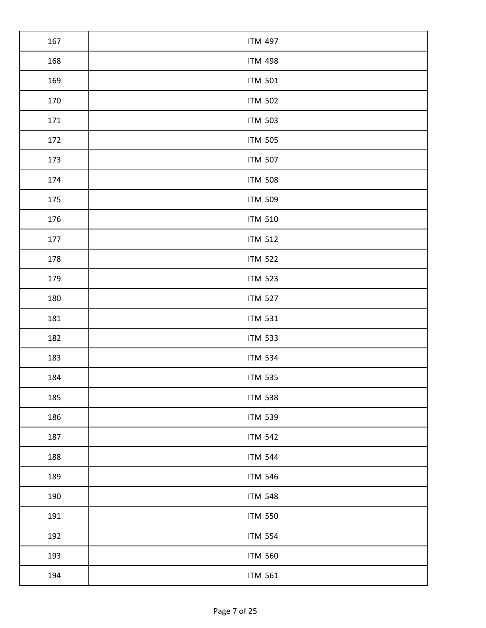| 167 | <b>ITM 497</b> |
|-----|----------------|
| 168 | <b>ITM 498</b> |
| 169 | <b>ITM 501</b> |
| 170 | <b>ITM 502</b> |
| 171 | <b>ITM 503</b> |
| 172 | <b>ITM 505</b> |
| 173 | <b>ITM 507</b> |
| 174 | <b>ITM 508</b> |
| 175 | <b>ITM 509</b> |
| 176 | <b>ITM 510</b> |
| 177 | <b>ITM 512</b> |
| 178 | <b>ITM 522</b> |
| 179 | <b>ITM 523</b> |
| 180 | <b>ITM 527</b> |
| 181 | <b>ITM 531</b> |
| 182 | <b>ITM 533</b> |
| 183 | <b>ITM 534</b> |
| 184 | <b>ITM 535</b> |
| 185 | <b>ITM 538</b> |
| 186 | <b>ITM 539</b> |
| 187 | <b>ITM 542</b> |
| 188 | <b>ITM 544</b> |
| 189 | <b>ITM 546</b> |
| 190 | <b>ITM 548</b> |
| 191 | <b>ITM 550</b> |
| 192 | <b>ITM 554</b> |
| 193 | <b>ITM 560</b> |
| 194 | <b>ITM 561</b> |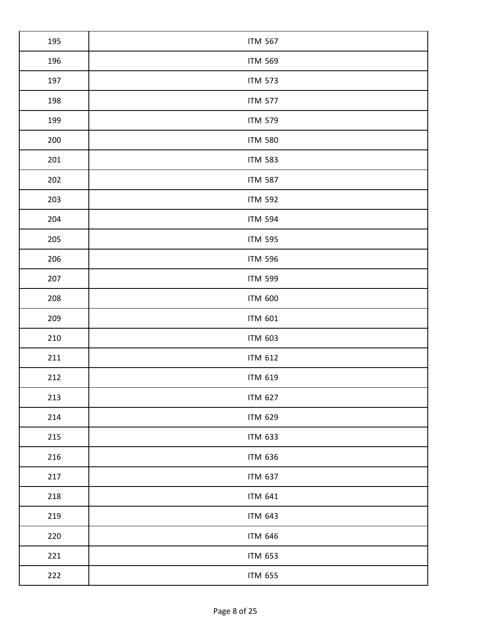| 195 | <b>ITM 567</b> |
|-----|----------------|
| 196 | <b>ITM 569</b> |
| 197 | <b>ITM 573</b> |
| 198 | <b>ITM 577</b> |
| 199 | <b>ITM 579</b> |
| 200 | <b>ITM 580</b> |
| 201 | <b>ITM 583</b> |
| 202 | <b>ITM 587</b> |
| 203 | <b>ITM 592</b> |
| 204 | <b>ITM 594</b> |
| 205 | <b>ITM 595</b> |
| 206 | <b>ITM 596</b> |
| 207 | <b>ITM 599</b> |
| 208 | <b>ITM 600</b> |
| 209 | <b>ITM 601</b> |
| 210 | <b>ITM 603</b> |
| 211 | <b>ITM 612</b> |
| 212 | <b>ITM 619</b> |
| 213 | <b>ITM 627</b> |
| 214 | <b>ITM 629</b> |
| 215 | <b>ITM 633</b> |
| 216 | <b>ITM 636</b> |
| 217 | <b>ITM 637</b> |
| 218 | <b>ITM 641</b> |
| 219 | <b>ITM 643</b> |
| 220 | <b>ITM 646</b> |
| 221 | <b>ITM 653</b> |
| 222 | <b>ITM 655</b> |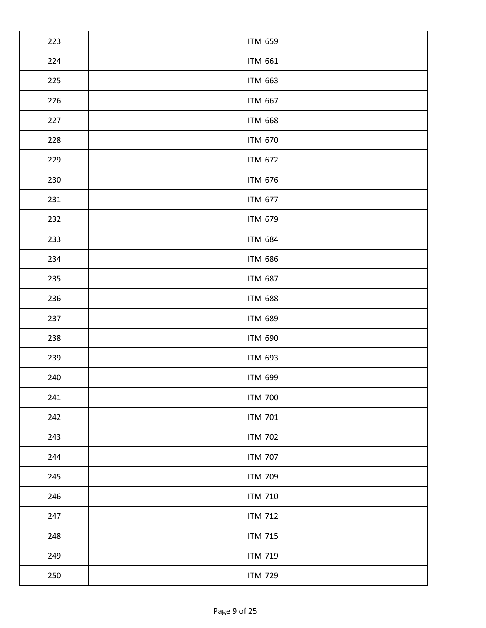| 223 | <b>ITM 659</b> |
|-----|----------------|
| 224 | <b>ITM 661</b> |
| 225 | <b>ITM 663</b> |
| 226 | <b>ITM 667</b> |
| 227 | <b>ITM 668</b> |
| 228 | <b>ITM 670</b> |
| 229 | <b>ITM 672</b> |
| 230 | <b>ITM 676</b> |
| 231 | <b>ITM 677</b> |
| 232 | <b>ITM 679</b> |
| 233 | <b>ITM 684</b> |
| 234 | <b>ITM 686</b> |
| 235 | <b>ITM 687</b> |
| 236 | <b>ITM 688</b> |
| 237 | <b>ITM 689</b> |
| 238 | <b>ITM 690</b> |
| 239 | <b>ITM 693</b> |
| 240 | <b>ITM 699</b> |
| 241 | <b>ITM 700</b> |
| 242 | <b>ITM 701</b> |
| 243 | <b>ITM 702</b> |
| 244 | <b>ITM 707</b> |
| 245 | <b>ITM 709</b> |
| 246 | <b>ITM 710</b> |
| 247 | <b>ITM 712</b> |
| 248 | <b>ITM 715</b> |
| 249 | <b>ITM 719</b> |
| 250 | <b>ITM 729</b> |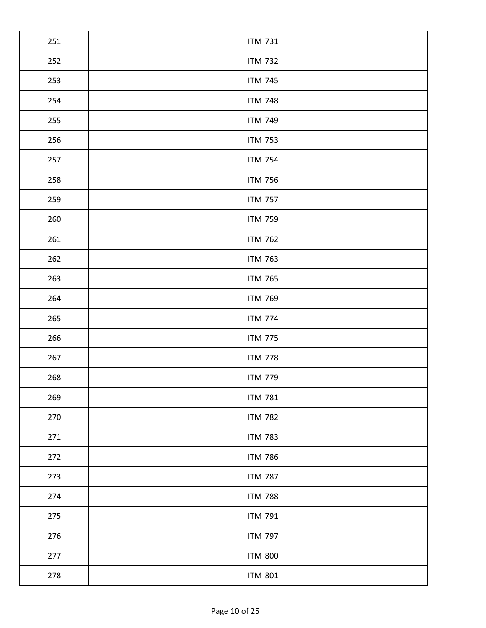| 251 | <b>ITM 731</b> |
|-----|----------------|
| 252 | <b>ITM 732</b> |
| 253 | <b>ITM 745</b> |
| 254 | <b>ITM 748</b> |
| 255 | <b>ITM 749</b> |
| 256 | <b>ITM 753</b> |
| 257 | <b>ITM 754</b> |
| 258 | <b>ITM 756</b> |
| 259 | <b>ITM 757</b> |
| 260 | <b>ITM 759</b> |
| 261 | <b>ITM 762</b> |
| 262 | <b>ITM 763</b> |
| 263 | <b>ITM 765</b> |
| 264 | <b>ITM 769</b> |
| 265 | <b>ITM 774</b> |
| 266 | <b>ITM 775</b> |
| 267 | <b>ITM 778</b> |
| 268 | <b>ITM 779</b> |
| 269 | <b>ITM 781</b> |
| 270 | <b>ITM 782</b> |
| 271 | <b>ITM 783</b> |
| 272 | <b>ITM 786</b> |
| 273 | <b>ITM 787</b> |
| 274 | <b>ITM 788</b> |
| 275 | <b>ITM 791</b> |
| 276 | <b>ITM 797</b> |
| 277 | <b>ITM 800</b> |
| 278 | <b>ITM 801</b> |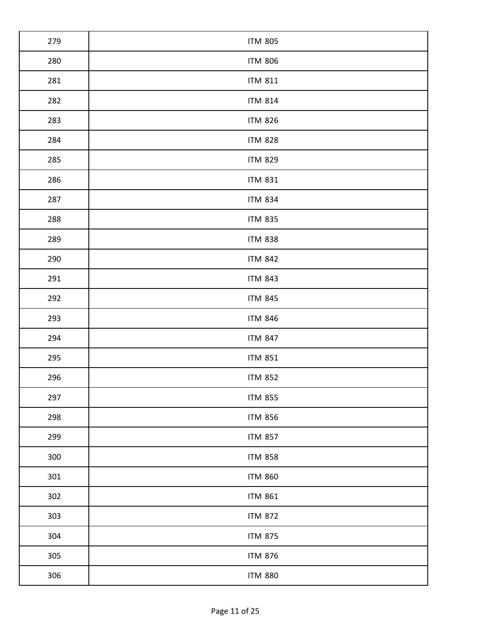| 279 | <b>ITM 805</b> |
|-----|----------------|
| 280 | <b>ITM 806</b> |
| 281 | <b>ITM 811</b> |
| 282 | <b>ITM 814</b> |
| 283 | <b>ITM 826</b> |
| 284 | <b>ITM 828</b> |
| 285 | <b>ITM 829</b> |
| 286 | <b>ITM 831</b> |
| 287 | <b>ITM 834</b> |
| 288 | <b>ITM 835</b> |
| 289 | <b>ITM 838</b> |
| 290 | <b>ITM 842</b> |
| 291 | <b>ITM 843</b> |
| 292 | <b>ITM 845</b> |
| 293 | <b>ITM 846</b> |
| 294 | <b>ITM 847</b> |
| 295 | <b>ITM 851</b> |
| 296 | <b>ITM 852</b> |
| 297 | <b>ITM 855</b> |
| 298 | <b>ITM 856</b> |
| 299 | <b>ITM 857</b> |
| 300 | <b>ITM 858</b> |
| 301 | <b>ITM 860</b> |
| 302 | <b>ITM 861</b> |
| 303 | <b>ITM 872</b> |
| 304 | <b>ITM 875</b> |
| 305 | <b>ITM 876</b> |
| 306 | <b>ITM 880</b> |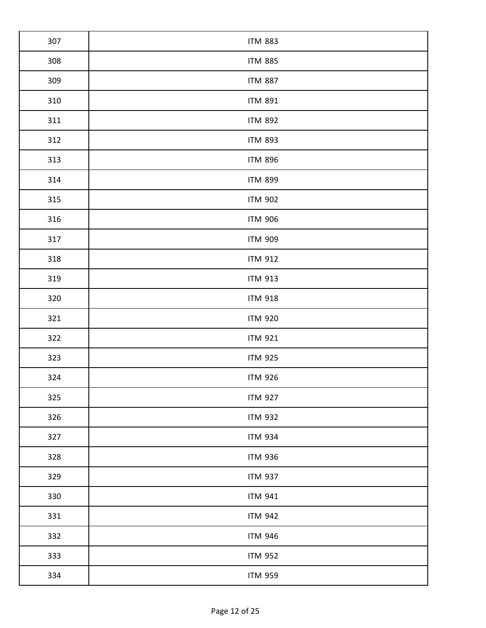| 307 | <b>ITM 883</b> |
|-----|----------------|
| 308 | <b>ITM 885</b> |
| 309 | <b>ITM 887</b> |
| 310 | <b>ITM 891</b> |
| 311 | <b>ITM 892</b> |
| 312 | <b>ITM 893</b> |
| 313 | <b>ITM 896</b> |
| 314 | <b>ITM 899</b> |
| 315 | <b>ITM 902</b> |
| 316 | <b>ITM 906</b> |
| 317 | <b>ITM 909</b> |
| 318 | <b>ITM 912</b> |
| 319 | <b>ITM 913</b> |
| 320 | <b>ITM 918</b> |
| 321 | <b>ITM 920</b> |
| 322 | <b>ITM 921</b> |
| 323 | <b>ITM 925</b> |
| 324 | <b>ITM 926</b> |
| 325 | <b>ITM 927</b> |
| 326 | <b>ITM 932</b> |
| 327 | <b>ITM 934</b> |
| 328 | <b>ITM 936</b> |
| 329 | <b>ITM 937</b> |
| 330 | <b>ITM 941</b> |
| 331 | <b>ITM 942</b> |
| 332 | <b>ITM 946</b> |
| 333 | <b>ITM 952</b> |
| 334 | <b>ITM 959</b> |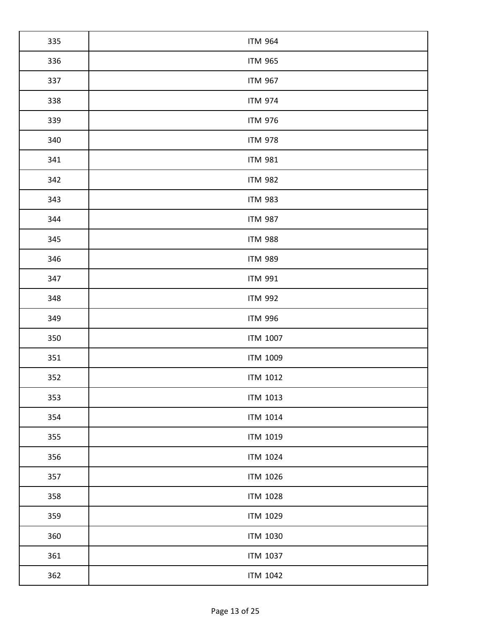| 335 | <b>ITM 964</b>  |
|-----|-----------------|
| 336 | <b>ITM 965</b>  |
| 337 | <b>ITM 967</b>  |
| 338 | <b>ITM 974</b>  |
| 339 | <b>ITM 976</b>  |
| 340 | <b>ITM 978</b>  |
| 341 | <b>ITM 981</b>  |
| 342 | <b>ITM 982</b>  |
| 343 | <b>ITM 983</b>  |
| 344 | <b>ITM 987</b>  |
| 345 | <b>ITM 988</b>  |
| 346 | <b>ITM 989</b>  |
| 347 | <b>ITM 991</b>  |
| 348 | <b>ITM 992</b>  |
| 349 | <b>ITM 996</b>  |
| 350 | <b>ITM 1007</b> |
| 351 | <b>ITM 1009</b> |
| 352 | <b>ITM 1012</b> |
| 353 | <b>ITM 1013</b> |
| 354 | <b>ITM 1014</b> |
| 355 | <b>ITM 1019</b> |
| 356 | <b>ITM 1024</b> |
| 357 | <b>ITM 1026</b> |
| 358 | <b>ITM 1028</b> |
| 359 | <b>ITM 1029</b> |
| 360 | <b>ITM 1030</b> |
| 361 | <b>ITM 1037</b> |
| 362 | <b>ITM 1042</b> |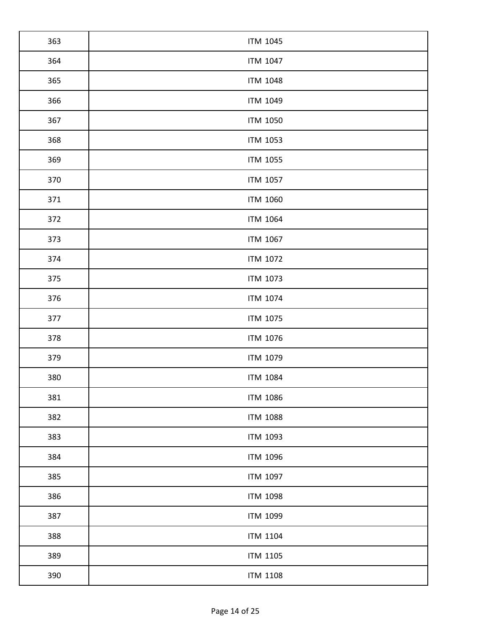| 363 | <b>ITM 1045</b> |
|-----|-----------------|
| 364 | <b>ITM 1047</b> |
| 365 | <b>ITM 1048</b> |
| 366 | <b>ITM 1049</b> |
| 367 | <b>ITM 1050</b> |
| 368 | <b>ITM 1053</b> |
| 369 | <b>ITM 1055</b> |
| 370 | <b>ITM 1057</b> |
| 371 | <b>ITM 1060</b> |
| 372 | <b>ITM 1064</b> |
| 373 | <b>ITM 1067</b> |
| 374 | <b>ITM 1072</b> |
| 375 | <b>ITM 1073</b> |
| 376 | <b>ITM 1074</b> |
| 377 | ITM 1075        |
| 378 | ITM 1076        |
| 379 | <b>ITM 1079</b> |
| 380 | <b>ITM 1084</b> |
| 381 | <b>ITM 1086</b> |
| 382 | <b>ITM 1088</b> |
| 383 | <b>ITM 1093</b> |
| 384 | <b>ITM 1096</b> |
| 385 | <b>ITM 1097</b> |
| 386 | <b>ITM 1098</b> |
| 387 | <b>ITM 1099</b> |
| 388 | <b>ITM 1104</b> |
| 389 | <b>ITM 1105</b> |
| 390 | <b>ITM 1108</b> |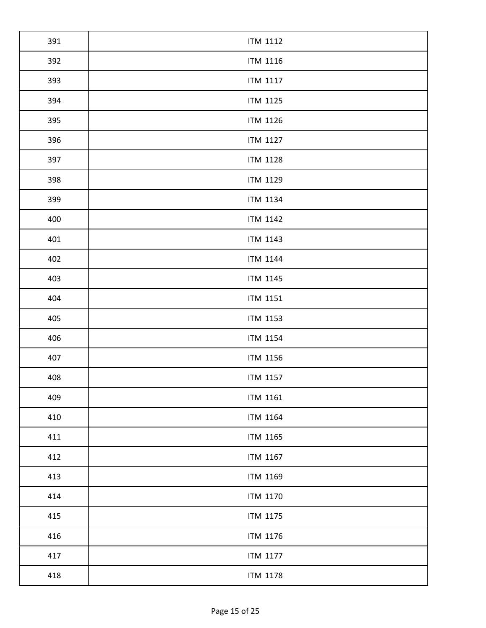| 391 | <b>ITM 1112</b> |
|-----|-----------------|
| 392 | ITM 1116        |
| 393 | <b>ITM 1117</b> |
| 394 | <b>ITM 1125</b> |
| 395 | <b>ITM 1126</b> |
| 396 | <b>ITM 1127</b> |
| 397 | <b>ITM 1128</b> |
| 398 | <b>ITM 1129</b> |
| 399 | <b>ITM 1134</b> |
| 400 | <b>ITM 1142</b> |
| 401 | <b>ITM 1143</b> |
| 402 | <b>ITM 1144</b> |
| 403 | ITM 1145        |
| 404 | ITM 1151        |
| 405 | <b>ITM 1153</b> |
| 406 | <b>ITM 1154</b> |
| 407 | <b>ITM 1156</b> |
| 408 | ITM 1157        |
| 409 | <b>ITM 1161</b> |
| 410 | <b>ITM 1164</b> |
| 411 | ITM 1165        |
| 412 | ITM 1167        |
| 413 | <b>ITM 1169</b> |
| 414 | ITM 1170        |
| 415 | <b>ITM 1175</b> |
| 416 | <b>ITM 1176</b> |
| 417 | <b>ITM 1177</b> |
| 418 | <b>ITM 1178</b> |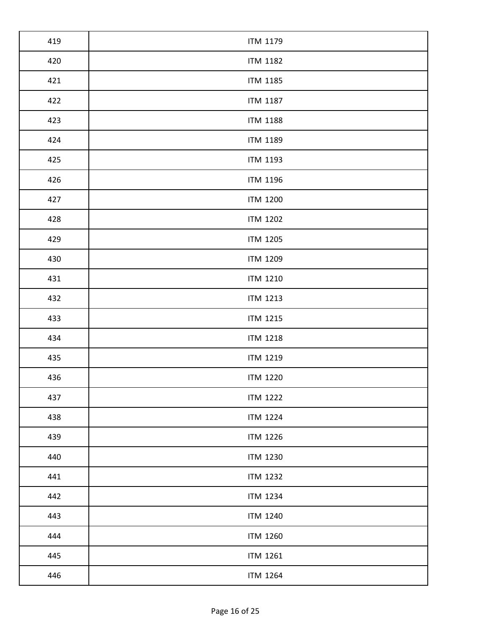| 419 | <b>ITM 1179</b> |
|-----|-----------------|
| 420 | <b>ITM 1182</b> |
| 421 | <b>ITM 1185</b> |
| 422 | <b>ITM 1187</b> |
| 423 | <b>ITM 1188</b> |
| 424 | <b>ITM 1189</b> |
| 425 | <b>ITM 1193</b> |
| 426 | <b>ITM 1196</b> |
| 427 | <b>ITM 1200</b> |
| 428 | <b>ITM 1202</b> |
| 429 | <b>ITM 1205</b> |
| 430 | <b>ITM 1209</b> |
| 431 | <b>ITM 1210</b> |
| 432 | <b>ITM 1213</b> |
| 433 | <b>ITM 1215</b> |
| 434 | <b>ITM 1218</b> |
| 435 | <b>ITM 1219</b> |
| 436 | <b>ITM 1220</b> |
| 437 | <b>ITM 1222</b> |
| 438 | <b>ITM 1224</b> |
| 439 | <b>ITM 1226</b> |
| 440 | <b>ITM 1230</b> |
| 441 | <b>ITM 1232</b> |
| 442 | <b>ITM 1234</b> |
| 443 | <b>ITM 1240</b> |
| 444 | <b>ITM 1260</b> |
| 445 | <b>ITM 1261</b> |
| 446 | <b>ITM 1264</b> |
|     |                 |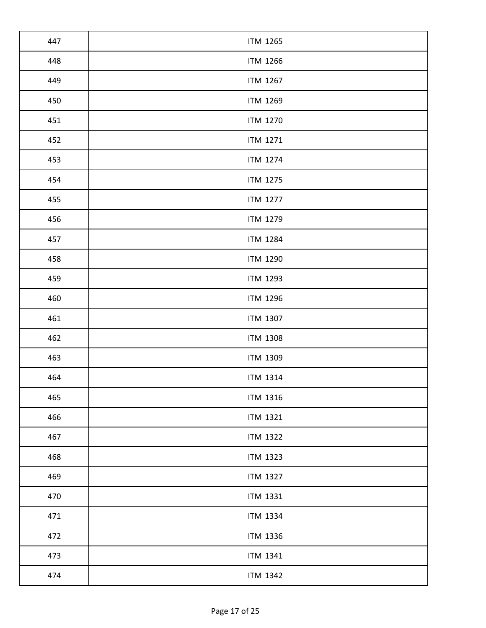| 447 | <b>ITM 1265</b> |
|-----|-----------------|
| 448 | <b>ITM 1266</b> |
| 449 | <b>ITM 1267</b> |
| 450 | <b>ITM 1269</b> |
| 451 | <b>ITM 1270</b> |
| 452 | <b>ITM 1271</b> |
| 453 | <b>ITM 1274</b> |
| 454 | <b>ITM 1275</b> |
| 455 | <b>ITM 1277</b> |
| 456 | <b>ITM 1279</b> |
| 457 | <b>ITM 1284</b> |
| 458 | <b>ITM 1290</b> |
| 459 | <b>ITM 1293</b> |
| 460 | <b>ITM 1296</b> |
| 461 | <b>ITM 1307</b> |
| 462 | <b>ITM 1308</b> |
| 463 | <b>ITM 1309</b> |
| 464 | <b>ITM 1314</b> |
| 465 | <b>ITM 1316</b> |
| 466 | <b>ITM 1321</b> |
| 467 | <b>ITM 1322</b> |
| 468 | <b>ITM 1323</b> |
| 469 | <b>ITM 1327</b> |
| 470 | <b>ITM 1331</b> |
| 471 | <b>ITM 1334</b> |
| 472 | <b>ITM 1336</b> |
| 473 | <b>ITM 1341</b> |
|     |                 |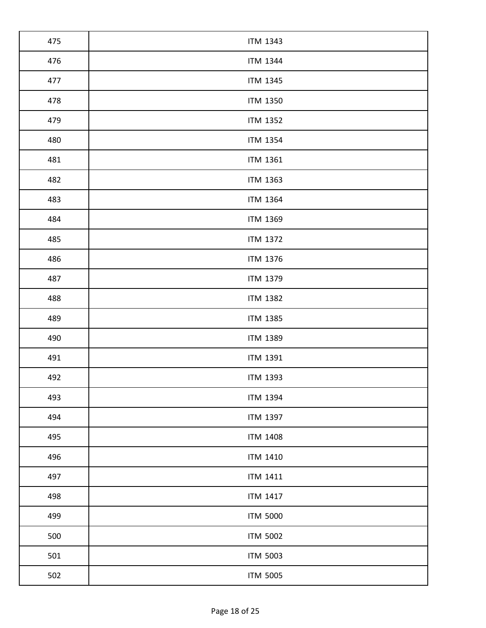| 475 | <b>ITM 1343</b> |
|-----|-----------------|
| 476 | <b>ITM 1344</b> |
| 477 | <b>ITM 1345</b> |
| 478 | <b>ITM 1350</b> |
| 479 | <b>ITM 1352</b> |
| 480 | <b>ITM 1354</b> |
| 481 | <b>ITM 1361</b> |
| 482 | <b>ITM 1363</b> |
| 483 | <b>ITM 1364</b> |
| 484 | <b>ITM 1369</b> |
| 485 | <b>ITM 1372</b> |
| 486 | <b>ITM 1376</b> |
| 487 | <b>ITM 1379</b> |
| 488 | <b>ITM 1382</b> |
| 489 | <b>ITM 1385</b> |
| 490 | <b>ITM 1389</b> |
| 491 | <b>ITM 1391</b> |
| 492 | <b>ITM 1393</b> |
| 493 | <b>ITM 1394</b> |
| 494 | <b>ITM 1397</b> |
| 495 | <b>ITM 1408</b> |
| 496 | ITM 1410        |
| 497 | <b>ITM 1411</b> |
| 498 | <b>ITM 1417</b> |
| 499 | <b>ITM 5000</b> |
| 500 | <b>ITM 5002</b> |
| 501 | <b>ITM 5003</b> |
| 502 | <b>ITM 5005</b> |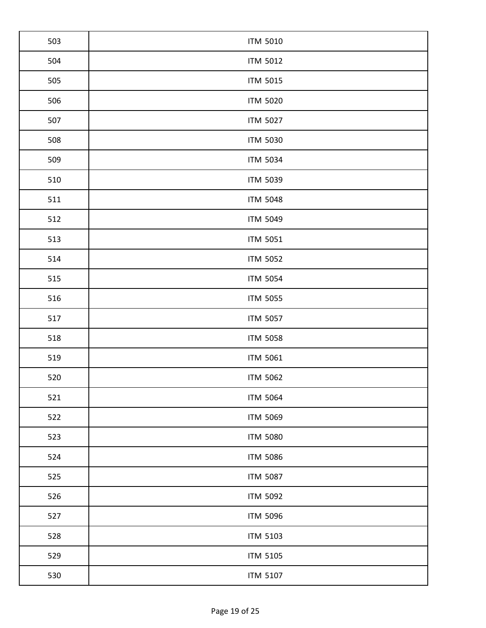| 503 | <b>ITM 5010</b> |
|-----|-----------------|
| 504 | <b>ITM 5012</b> |
| 505 | <b>ITM 5015</b> |
| 506 | <b>ITM 5020</b> |
| 507 | <b>ITM 5027</b> |
| 508 | <b>ITM 5030</b> |
| 509 | <b>ITM 5034</b> |
| 510 | <b>ITM 5039</b> |
| 511 | <b>ITM 5048</b> |
| 512 | <b>ITM 5049</b> |
| 513 | <b>ITM 5051</b> |
| 514 | <b>ITM 5052</b> |
| 515 | <b>ITM 5054</b> |
| 516 | <b>ITM 5055</b> |
| 517 | <b>ITM 5057</b> |
| 518 | <b>ITM 5058</b> |
| 519 | <b>ITM 5061</b> |
| 520 | <b>ITM 5062</b> |
| 521 | <b>ITM 5064</b> |
| 522 | <b>ITM 5069</b> |
| 523 | <b>ITM 5080</b> |
| 524 | <b>ITM 5086</b> |
| 525 | <b>ITM 5087</b> |
| 526 | <b>ITM 5092</b> |
| 527 | <b>ITM 5096</b> |
| 528 | <b>ITM 5103</b> |
| 529 | <b>ITM 5105</b> |
| 530 | <b>ITM 5107</b> |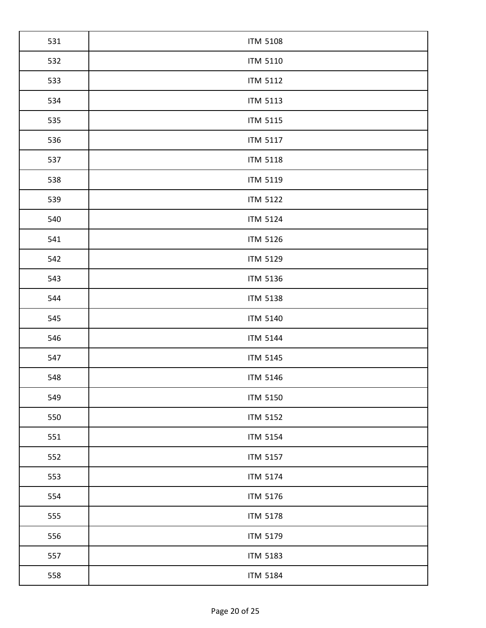| <b>ITM 5108</b> |
|-----------------|
| <b>ITM 5110</b> |
| <b>ITM 5112</b> |
| <b>ITM 5113</b> |
| <b>ITM 5115</b> |
| <b>ITM 5117</b> |
| <b>ITM 5118</b> |
| <b>ITM 5119</b> |
| <b>ITM 5122</b> |
| <b>ITM 5124</b> |
| <b>ITM 5126</b> |
| <b>ITM 5129</b> |
| <b>ITM 5136</b> |
| <b>ITM 5138</b> |
| <b>ITM 5140</b> |
| <b>ITM 5144</b> |
| <b>ITM 5145</b> |
| <b>ITM 5146</b> |
| <b>ITM 5150</b> |
| <b>ITM 5152</b> |
| <b>ITM 5154</b> |
| <b>ITM 5157</b> |
| <b>ITM 5174</b> |
| <b>ITM 5176</b> |
| <b>ITM 5178</b> |
| <b>ITM 5179</b> |
| <b>ITM 5183</b> |
|                 |
|                 |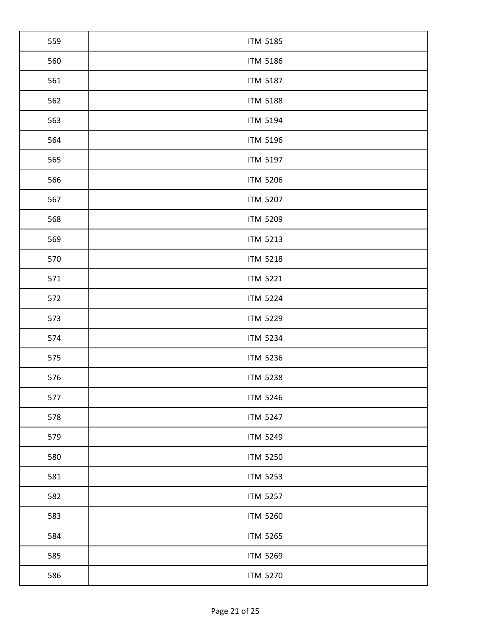| 560<br><b>ITM 5186</b><br>561<br><b>ITM 5187</b><br>562<br><b>ITM 5188</b><br>563<br><b>ITM 5194</b><br>564<br><b>ITM 5196</b> |  |
|--------------------------------------------------------------------------------------------------------------------------------|--|
|                                                                                                                                |  |
|                                                                                                                                |  |
|                                                                                                                                |  |
|                                                                                                                                |  |
|                                                                                                                                |  |
| 565<br><b>ITM 5197</b>                                                                                                         |  |
| 566<br><b>ITM 5206</b>                                                                                                         |  |
| 567<br><b>ITM 5207</b>                                                                                                         |  |
| 568<br><b>ITM 5209</b>                                                                                                         |  |
| 569<br><b>ITM 5213</b>                                                                                                         |  |
| 570<br><b>ITM 5218</b>                                                                                                         |  |
| 571<br><b>ITM 5221</b>                                                                                                         |  |
| 572<br><b>ITM 5224</b>                                                                                                         |  |
| 573<br><b>ITM 5229</b>                                                                                                         |  |
| 574<br><b>ITM 5234</b>                                                                                                         |  |
| 575<br><b>ITM 5236</b>                                                                                                         |  |
| 576<br><b>ITM 5238</b>                                                                                                         |  |
| 577<br><b>ITM 5246</b>                                                                                                         |  |
| 578<br><b>ITM 5247</b>                                                                                                         |  |
| 579<br><b>ITM 5249</b>                                                                                                         |  |
| 580<br><b>ITM 5250</b>                                                                                                         |  |
| 581<br><b>ITM 5253</b>                                                                                                         |  |
| 582<br><b>ITM 5257</b>                                                                                                         |  |
| 583<br><b>ITM 5260</b>                                                                                                         |  |
| 584<br><b>ITM 5265</b>                                                                                                         |  |
| 585<br><b>ITM 5269</b>                                                                                                         |  |
| 586<br><b>ITM 5270</b>                                                                                                         |  |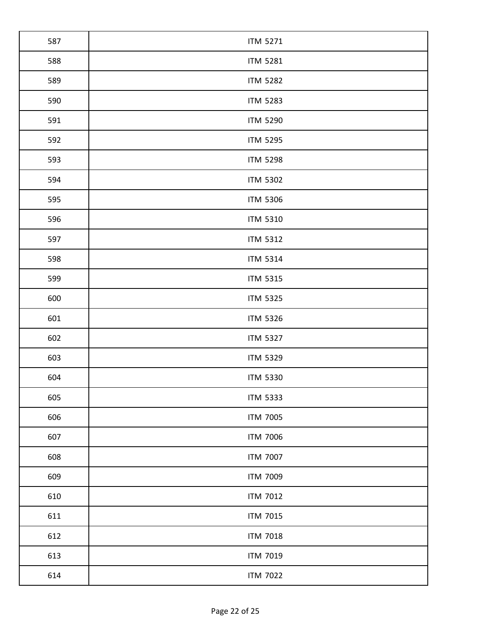| 587 | <b>ITM 5271</b> |
|-----|-----------------|
| 588 | <b>ITM 5281</b> |
| 589 | <b>ITM 5282</b> |
| 590 | <b>ITM 5283</b> |
| 591 | <b>ITM 5290</b> |
| 592 | <b>ITM 5295</b> |
| 593 | <b>ITM 5298</b> |
| 594 | <b>ITM 5302</b> |
| 595 | <b>ITM 5306</b> |
| 596 | <b>ITM 5310</b> |
| 597 | <b>ITM 5312</b> |
| 598 | <b>ITM 5314</b> |
| 599 | <b>ITM 5315</b> |
| 600 | <b>ITM 5325</b> |
| 601 | <b>ITM 5326</b> |
| 602 | <b>ITM 5327</b> |
| 603 | <b>ITM 5329</b> |
| 604 | <b>ITM 5330</b> |
| 605 | <b>ITM 5333</b> |
| 606 | <b>ITM 7005</b> |
| 607 | <b>ITM 7006</b> |
| 608 | <b>ITM 7007</b> |
| 609 | <b>ITM 7009</b> |
| 610 | <b>ITM 7012</b> |
| 611 | <b>ITM 7015</b> |
| 612 | <b>ITM 7018</b> |
| 613 | <b>ITM 7019</b> |
| 614 | <b>ITM 7022</b> |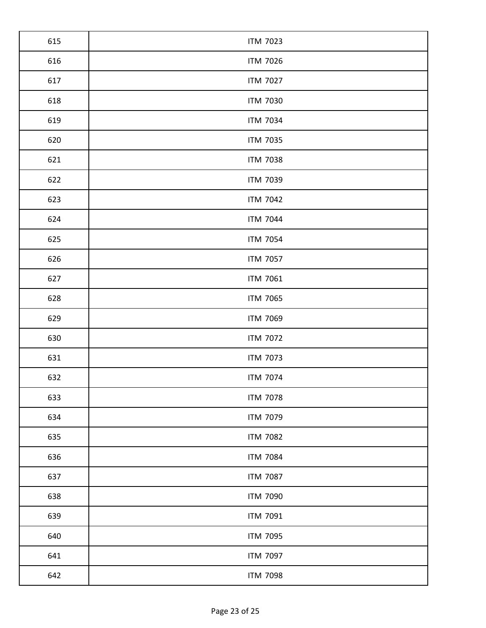| <b>ITM 7023</b> |
|-----------------|
| <b>ITM 7026</b> |
| <b>ITM 7027</b> |
| <b>ITM 7030</b> |
| <b>ITM 7034</b> |
| <b>ITM 7035</b> |
| <b>ITM 7038</b> |
| <b>ITM 7039</b> |
| <b>ITM 7042</b> |
| <b>ITM 7044</b> |
| <b>ITM 7054</b> |
| <b>ITM 7057</b> |
| <b>ITM 7061</b> |
| <b>ITM 7065</b> |
| <b>ITM 7069</b> |
| <b>ITM 7072</b> |
| <b>ITM 7073</b> |
| <b>ITM 7074</b> |
| <b>ITM 7078</b> |
| <b>ITM 7079</b> |
| <b>ITM 7082</b> |
| <b>ITM 7084</b> |
| <b>ITM 7087</b> |
| <b>ITM 7090</b> |
| <b>ITM 7091</b> |
| <b>ITM 7095</b> |
| <b>ITM 7097</b> |
|                 |
|                 |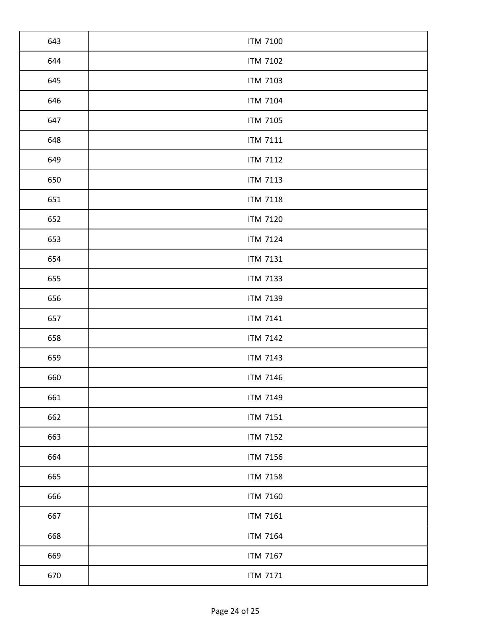| 643 | <b>ITM 7100</b> |
|-----|-----------------|
| 644 | <b>ITM 7102</b> |
| 645 | <b>ITM 7103</b> |
| 646 | <b>ITM 7104</b> |
| 647 | <b>ITM 7105</b> |
| 648 | <b>ITM 7111</b> |
| 649 | <b>ITM 7112</b> |
| 650 | <b>ITM 7113</b> |
| 651 | <b>ITM 7118</b> |
| 652 | <b>ITM 7120</b> |
| 653 | <b>ITM 7124</b> |
| 654 | <b>ITM 7131</b> |
| 655 | <b>ITM 7133</b> |
| 656 | <b>ITM 7139</b> |
| 657 | <b>ITM 7141</b> |
| 658 | <b>ITM 7142</b> |
| 659 | <b>ITM 7143</b> |
| 660 | <b>ITM 7146</b> |
| 661 | <b>ITM 7149</b> |
| 662 | <b>ITM 7151</b> |
| 663 | <b>ITM 7152</b> |
| 664 | <b>ITM 7156</b> |
| 665 | <b>ITM 7158</b> |
| 666 | <b>ITM 7160</b> |
| 667 | <b>ITM 7161</b> |
| 668 | <b>ITM 7164</b> |
| 669 | <b>ITM 7167</b> |
| 670 | <b>ITM 7171</b> |